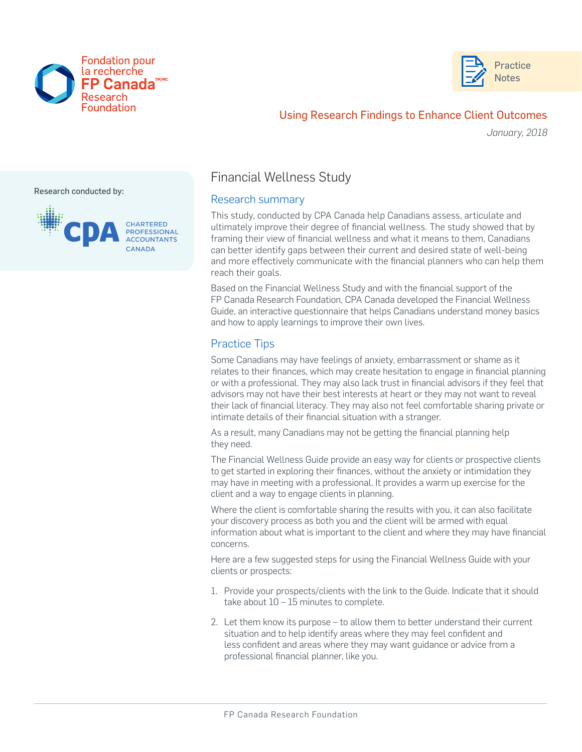



# Using Research Findings to Enhance Client Outcomes

*January, 2018*

#### Research conducted by:



## Financial Wellness Study

### Research summary

This study, conducted by CPA Canada help Canadians assess, articulate and ultimately improve their degree of financial wellness. The study showed that by framing their view of financial wellness and what it means to them, Canadians can better identify gaps between their current and desired state of well-being and more effectively communicate with the financial planners who can help them reach their goals.

Based on the Financial Wellness Study and with the financial support of the FP Canada Research Foundation, CPA Canada developed the Financial Wellness Guide, an interactive questionnaire that helps Canadians understand money basics and how to apply learnings to improve their own lives.

### Practice Tips

Some Canadians may have feelings of anxiety, embarrassment or shame as it relates to their finances, which may create hesitation to engage in financial planning or with a professional. They may also lack trust in financial advisors if they feel that advisors may not have their best interests at heart or they may not want to reveal their lack of financial literacy. They may also not feel comfortable sharing private or intimate details of their financial situation with a stranger.

As a result, many Canadians may not be getting the financial planning help they need.

The Financial Wellness Guide provide an easy way for clients or prospective clients to get started in exploring their finances, without the anxiety or intimidation they may have in meeting with a professional. It provides a warm up exercise for the client and a way to engage clients in planning.

Where the client is comfortable sharing the results with you, it can also facilitate your discovery process as both you and the client will be armed with equal information about what is important to the client and where they may have financial concerns.

Here are a few suggested steps for using the Financial Wellness Guide with your clients or prospects:

- 1. Provide your prospects/clients with the link to the Guide. Indicate that it should take about 10 – 15 minutes to complete.
- 2. Let them know its purpose to allow them to better understand their current situation and to help identify areas where they may feel confident and less confident and areas where they may want guidance or advice from a professional financial planner, like you.